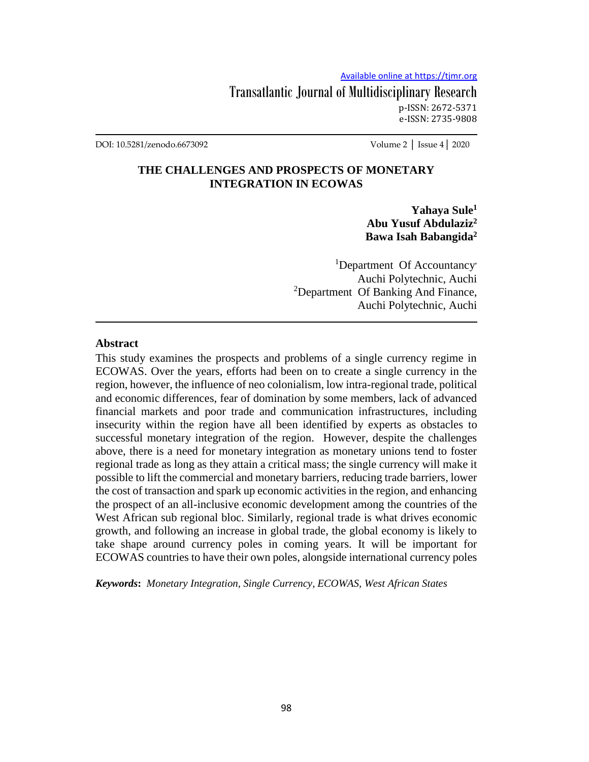Transatlantic Journal of Multidisciplinary Research p-ISSN: 2672-5371 e-ISSN: 2735-9808

DOI: 10.5281/zenodo.6673092 Volume 2 │ Issue 4│ 2020

## **THE CHALLENGES AND PROSPECTS OF MONETARY INTEGRATION IN ECOWAS**

**Yahaya Sule<sup>1</sup> Abu Yusuf Abdulaziz<sup>2</sup> Bawa Isah Babangida<sup>2</sup>**

<sup>1</sup>Department Of Accountancy Auchi Polytechnic, Auchi <sup>2</sup>Department Of Banking And Finance, Auchi Polytechnic, Auchi

#### **Abstract**

This study examines the prospects and problems of a single currency regime in ECOWAS. Over the years, efforts had been on to create a single currency in the region, however, the influence of neo colonialism, low intra-regional trade, political and economic differences, fear of domination by some members, lack of advanced financial markets and poor trade and communication infrastructures, including insecurity within the region have all been identified by experts as obstacles to successful monetary integration of the region. However, despite the challenges above, there is a need for monetary integration as monetary unions tend to foster regional trade as long as they attain a critical mass; the single currency will make it possible to lift the commercial and monetary barriers, reducing trade barriers, lower the cost of transaction and spark up economic activities in the region, and enhancing the prospect of an all-inclusive economic development among the countries of the West African sub regional bloc. Similarly, regional trade is what drives economic growth, and following an increase in global trade, the global economy is likely to take shape around currency poles in coming years. It will be important for ECOWAS countries to have their own poles, alongside international currency poles

*Keywords***:** *Monetary Integration, Single Currency, ECOWAS, West African States*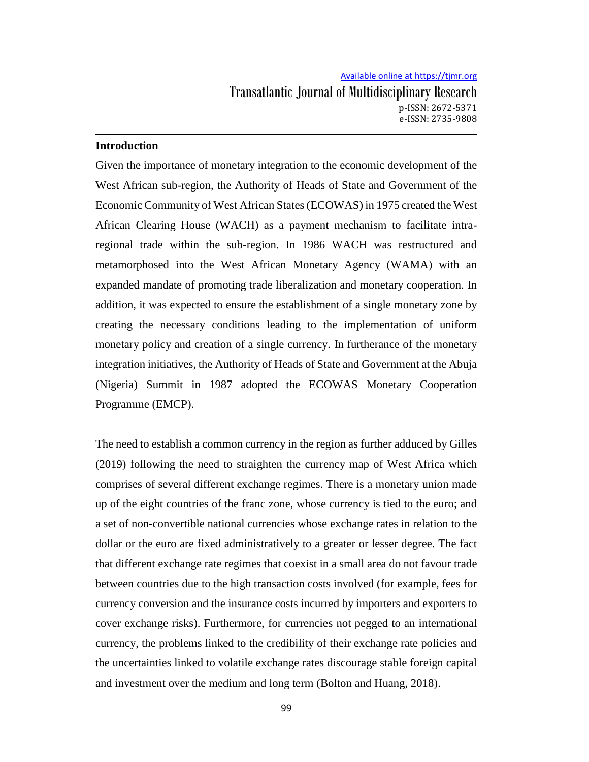#### **Introduction**

Given the importance of monetary integration to the economic development of the West African sub-region, the Authority of Heads of State and Government of the Economic Community of West African States (ECOWAS) in 1975 created the West African Clearing House (WACH) as a payment mechanism to facilitate intraregional trade within the sub-region. In 1986 WACH was restructured and metamorphosed into the West African Monetary Agency (WAMA) with an expanded mandate of promoting trade liberalization and monetary cooperation. In addition, it was expected to ensure the establishment of a single monetary zone by creating the necessary conditions leading to the implementation of uniform monetary policy and creation of a single currency. In furtherance of the monetary integration initiatives, the Authority of Heads of State and Government at the Abuja (Nigeria) Summit in 1987 adopted the ECOWAS Monetary Cooperation Programme (EMCP).

The need to establish a common currency in the region as further adduced by Gilles (2019) following the need to straighten the currency map of West Africa which comprises of several different exchange regimes. There is a monetary union made up of the eight countries of the franc zone, whose currency is tied to the euro; and a set of non-convertible national currencies whose exchange rates in relation to the dollar or the euro are fixed administratively to a greater or lesser degree. The fact that different exchange rate regimes that coexist in a small area do not favour trade between countries due to the high transaction costs involved (for example, fees for currency conversion and the insurance costs incurred by importers and exporters to cover exchange risks). Furthermore, for currencies not pegged to an international currency, the problems linked to the credibility of their exchange rate policies and the uncertainties linked to volatile exchange rates discourage stable foreign capital and investment over the medium and long term (Bolton and Huang, 2018).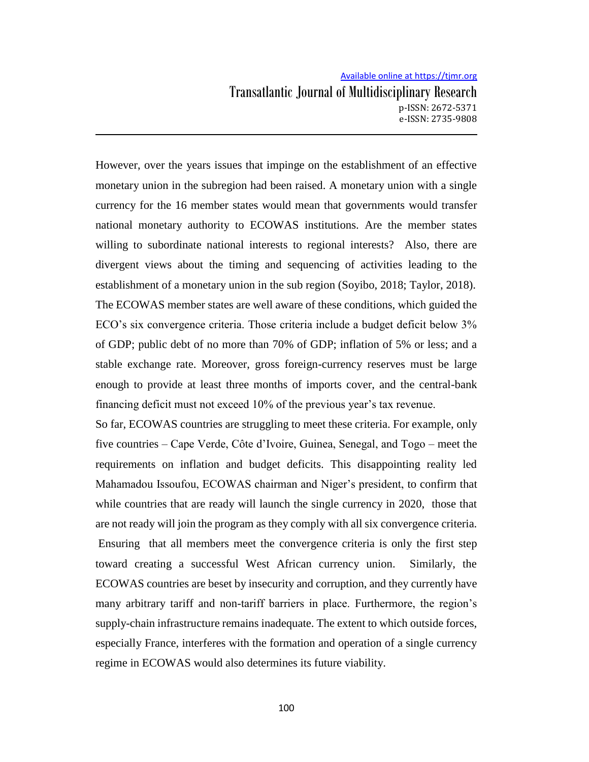However, over the years issues that impinge on the establishment of an effective monetary union in the subregion had been raised. A monetary union with a single currency for the 16 member states would mean that governments would transfer national monetary authority to ECOWAS institutions. Are the member states willing to subordinate national interests to regional interests? Also, there are divergent views about the timing and sequencing of activities leading to the establishment of a monetary union in the sub region (Soyibo, 2018; Taylor, 2018). The ECOWAS member states are well aware of these conditions, which guided the ECO's six convergence criteria. Those criteria include a budget deficit below 3% of GDP; public debt of no more than 70% of GDP; inflation of 5% or less; and a stable exchange rate. Moreover, gross foreign-currency reserves must be large enough to provide at least three months of imports cover, and the central-bank financing deficit must not exceed 10% of the previous year's tax revenue.

So far, ECOWAS countries are struggling to meet these criteria. For example, only five countries – Cape Verde, Côte d'Ivoire, Guinea, Senegal, and Togo – meet the requirements on inflation and budget deficits. This disappointing reality led Mahamadou Issoufou, ECOWAS chairman and Niger's president, to confirm that while countries that are ready will launch the single currency in 2020, those that are not ready will join the program as they comply with all six convergence criteria. Ensuring that all members meet the convergence criteria is only the first step toward creating a successful West African currency union. Similarly, the ECOWAS countries are beset by insecurity and corruption, and they currently have many arbitrary tariff and non-tariff barriers in place. Furthermore, the region's supply-chain infrastructure remains inadequate. The extent to which outside forces, especially France, interferes with the formation and operation of a single currency regime in ECOWAS would also determines its future viability.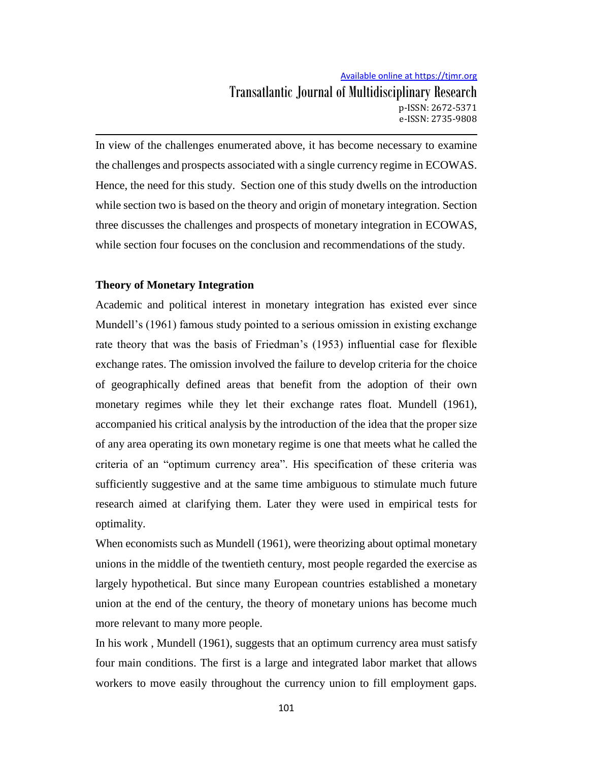Transatlantic Journal of Multidisciplinary Research p-ISSN: 2672-5371 e-ISSN: 2735-9808

In view of the challenges enumerated above, it has become necessary to examine the challenges and prospects associated with a single currency regime in ECOWAS. Hence, the need for this study. Section one of this study dwells on the introduction while section two is based on the theory and origin of monetary integration. Section three discusses the challenges and prospects of monetary integration in ECOWAS, while section four focuses on the conclusion and recommendations of the study.

#### **Theory of Monetary Integration**

Academic and political interest in monetary integration has existed ever since Mundell's (1961) famous study pointed to a serious omission in existing exchange rate theory that was the basis of Friedman's (1953) influential case for flexible exchange rates. The omission involved the failure to develop criteria for the choice of geographically defined areas that benefit from the adoption of their own monetary regimes while they let their exchange rates float. Mundell (1961), accompanied his critical analysis by the introduction of the idea that the proper size of any area operating its own monetary regime is one that meets what he called the criteria of an "optimum currency area". His specification of these criteria was sufficiently suggestive and at the same time ambiguous to stimulate much future research aimed at clarifying them. Later they were used in empirical tests for optimality.

When economists such as Mundell (1961), were theorizing about optimal monetary unions in the middle of the twentieth century, most people regarded the exercise as largely hypothetical. But since many European countries established a monetary union at the end of the century, the theory of monetary unions has become much more relevant to many more people.

In his work , Mundell (1961), suggests that an optimum currency area must satisfy four main conditions. The first is a large and integrated labor market that allows workers to move easily throughout the currency union to fill employment gaps.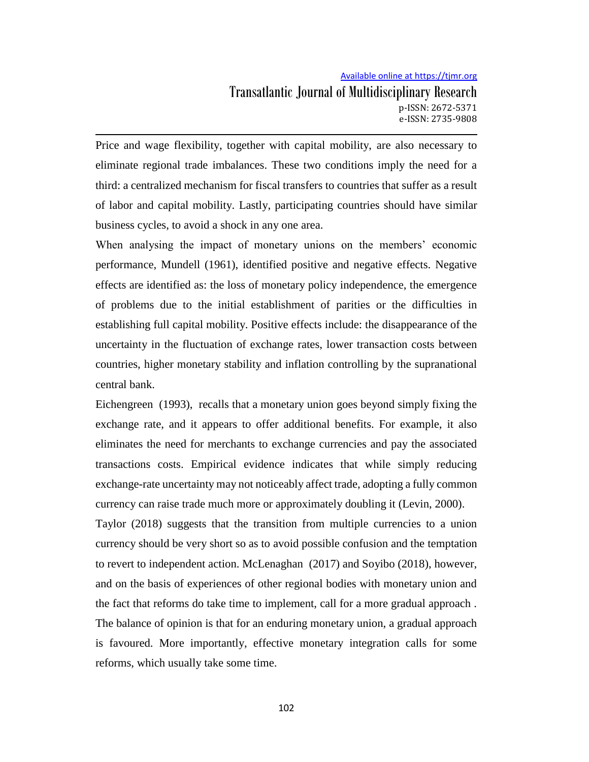Price and wage flexibility, together with capital mobility, are also necessary to eliminate regional trade imbalances. These two conditions imply the need for a third: a centralized mechanism for fiscal transfers to countries that suffer as a result of labor and capital mobility. Lastly, participating countries should have similar business cycles, to avoid a shock in any one area.

When analysing the impact of monetary unions on the members' economic performance, Mundell (1961), identified positive and negative effects. Negative effects are identified as: the loss of monetary policy independence, the emergence of problems due to the initial establishment of parities or the difficulties in establishing full capital mobility. Positive effects include: the disappearance of the uncertainty in the fluctuation of exchange rates, lower transaction costs between countries, higher monetary stability and inflation controlling by the supranational central bank.

Eichengreen (1993), recalls that a monetary union goes beyond simply fixing the exchange rate, and it appears to offer additional benefits. For example, it also eliminates the need for merchants to exchange currencies and pay the associated transactions costs. Empirical evidence indicates that while simply reducing exchange-rate uncertainty may not noticeably affect trade, adopting a fully common currency can raise trade much more or approximately doubling it (Levin, 2000).

Taylor (2018) suggests that the transition from multiple currencies to a union currency should be very short so as to avoid possible confusion and the temptation to revert to independent action. McLenaghan (2017) and Soyibo (2018), however, and on the basis of experiences of other regional bodies with monetary union and the fact that reforms do take time to implement, call for a more gradual approach . The balance of opinion is that for an enduring monetary union, a gradual approach is favoured. More importantly, effective monetary integration calls for some reforms, which usually take some time.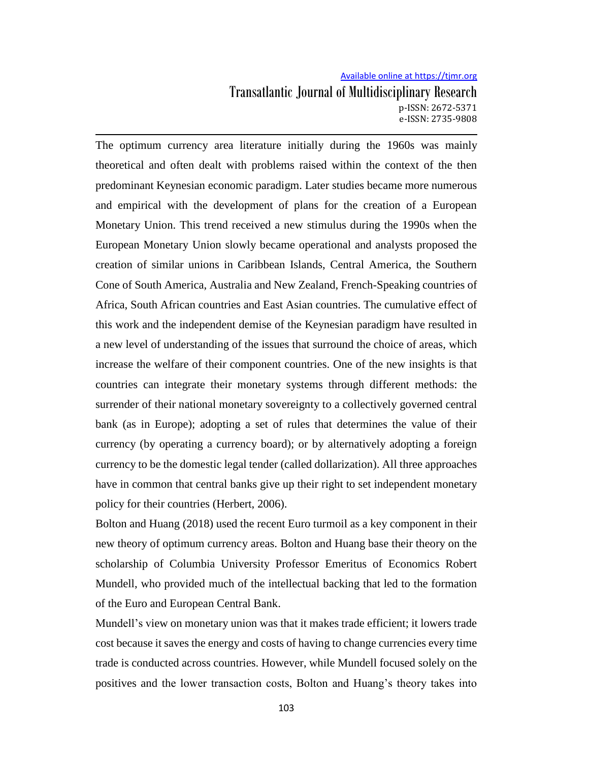The optimum currency area literature initially during the 1960s was mainly theoretical and often dealt with problems raised within the context of the then predominant Keynesian economic paradigm. Later studies became more numerous and empirical with the development of plans for the creation of a European Monetary Union. This trend received a new stimulus during the 1990s when the European Monetary Union slowly became operational and analysts proposed the creation of similar unions in Caribbean Islands, Central America, the Southern Cone of South America, Australia and New Zealand, French-Speaking countries of Africa, South African countries and East Asian countries. The cumulative effect of this work and the independent demise of the Keynesian paradigm have resulted in a new level of understanding of the issues that surround the choice of areas, which increase the welfare of their component countries. One of the new insights is that countries can integrate their monetary systems through different methods: the surrender of their national monetary sovereignty to a collectively governed central bank (as in Europe); adopting a set of rules that determines the value of their currency (by operating a currency board); or by alternatively adopting a foreign currency to be the domestic legal tender (called dollarization). All three approaches have in common that central banks give up their right to set independent monetary policy for their countries (Herbert, 2006).

Bolton and Huang (2018) used the recent Euro turmoil as a key component in their new theory of optimum currency areas. Bolton and Huang base their theory on the scholarship of Columbia University Professor Emeritus of Economics Robert Mundell, who provided much of the intellectual backing that led to the formation of the Euro and European Central Bank.

Mundell's view on monetary union was that it makes trade efficient; it lowers trade cost because it saves the energy and costs of having to change currencies every time trade is conducted across countries. However, while Mundell focused solely on the positives and the lower transaction costs, Bolton and Huang's theory takes into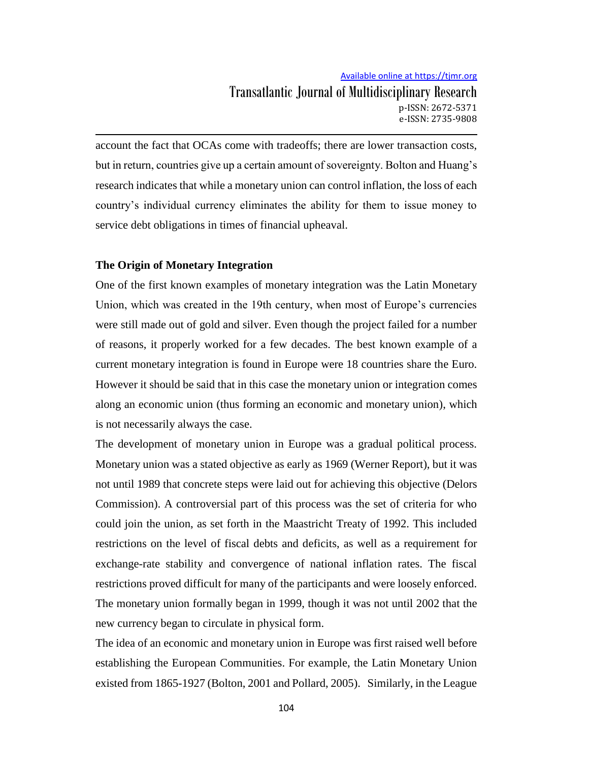account the fact that OCAs come with tradeoffs; there are lower transaction costs, but in return, countries give up a certain amount of sovereignty. Bolton and Huang's research indicates that while a monetary union can control inflation, the loss of each country's individual currency eliminates the ability for them to issue money to service debt obligations in times of financial upheaval.

#### **The Origin of Monetary Integration**

One of the first known examples of monetary integration was the Latin Monetary Union, which was created in the 19th century, when most of Europe's currencies were still made out of gold and silver. Even though the project failed for a number of reasons, it properly worked for a few decades. The best known example of a current monetary integration is found in Europe were 18 countries share the Euro. However it should be said that in this case the monetary union or integration comes along an economic union (thus forming an economic and monetary union), which is not necessarily always the case.

The development of monetary union in Europe was a gradual political process. Monetary union was a stated objective as early as 1969 (Werner Report), but it was not until 1989 that concrete steps were laid out for achieving this objective (Delors Commission). A controversial part of this process was the set of criteria for who could join the union, as set forth in the Maastricht Treaty of 1992. This included restrictions on the level of fiscal debts and deficits, as well as a requirement for exchange-rate stability and convergence of national inflation rates. The fiscal restrictions proved difficult for many of the participants and were loosely enforced. The monetary union formally began in 1999, though it was not until 2002 that the new currency began to circulate in physical form.

The idea of an economic and monetary union in Europe was first raised well before establishing the European Communities. For example, the Latin Monetary Union existed from 1865-1927 (Bolton, 2001 and Pollard, 2005). Similarly, in the League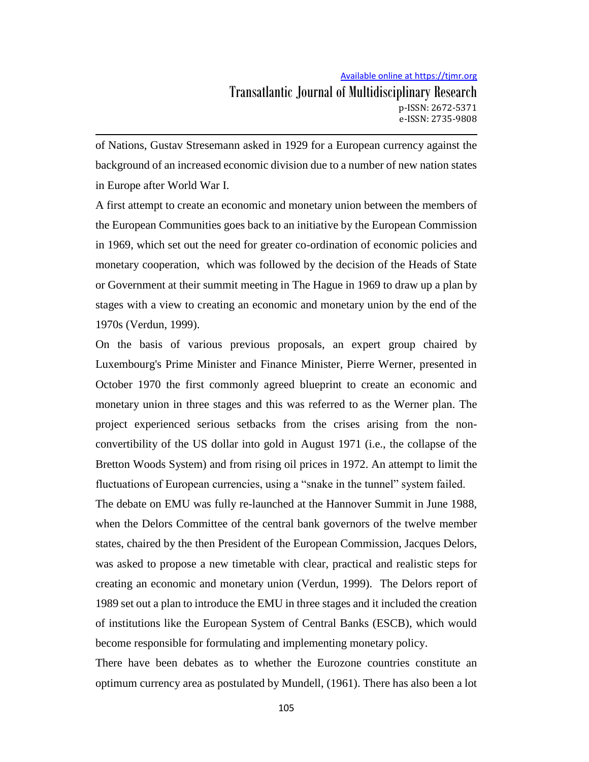## Transatlantic Journal of Multidisciplinary Research p-ISSN: 2672-5371 e-ISSN: 2735-9808

of Nations, Gustav Stresemann asked in 1929 for a European currency against the background of an increased economic division due to a number of new nation states in Europe after World War I.

A first attempt to create an economic and monetary union between the members of the European Communities goes back to an initiative by the European Commission in 1969, which set out the need for greater co-ordination of economic policies and monetary cooperation, which was followed by the decision of the Heads of State or Government at their summit meeting in The Hague in 1969 to draw up a plan by stages with a view to creating an economic and monetary union by the end of the 1970s (Verdun, 1999).

On the basis of various previous proposals, an expert group chaired by Luxembourg's Prime Minister and Finance Minister, Pierre Werner, presented in October 1970 the first commonly agreed blueprint to create an economic and monetary union in three stages and this was referred to as the Werner plan. The project experienced serious setbacks from the crises arising from the nonconvertibility of the US dollar into gold in August 1971 (i.e., the collapse of the Bretton Woods System) and from rising oil prices in 1972. An attempt to limit the fluctuations of European currencies, using a "snake in the tunnel" system failed.

The debate on EMU was fully re-launched at the Hannover Summit in June 1988, when the Delors Committee of the central bank governors of the twelve member states, chaired by the then President of the European Commission, Jacques Delors, was asked to propose a new timetable with clear, practical and realistic steps for creating an economic and monetary union (Verdun, 1999). The Delors report of 1989 set out a plan to introduce the EMU in three stages and it included the creation of institutions like the European System of Central Banks (ESCB), which would become responsible for formulating and implementing monetary policy.

There have been debates as to whether the Eurozone countries constitute an optimum currency area as postulated by Mundell, (1961). There has also been a lot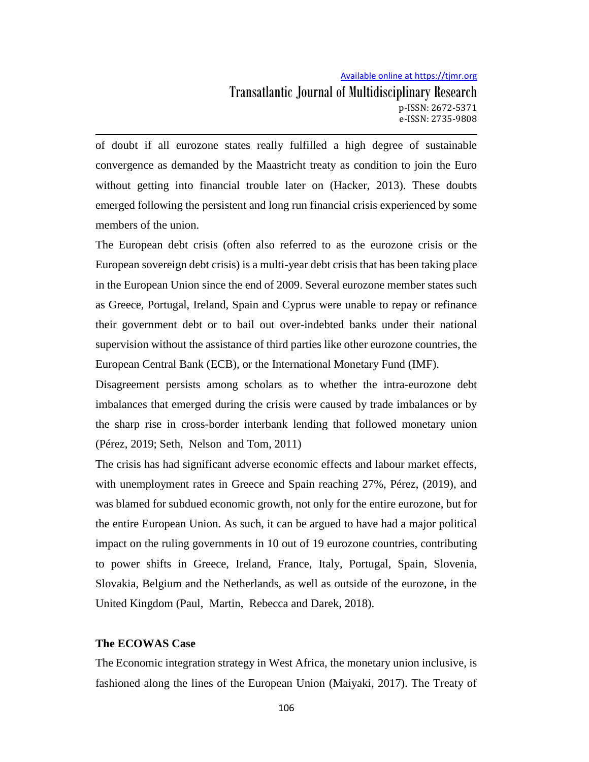## Transatlantic Journal of Multidisciplinary Research p-ISSN: 2672-5371 e-ISSN: 2735-9808

of doubt if all eurozone states really fulfilled a high degree of sustainable convergence as demanded by the Maastricht treaty as condition to join the Euro without getting into financial trouble later on (Hacker, 2013). These doubts emerged following the persistent and long run financial crisis experienced by some members of the union.

The European debt crisis (often also referred to as the eurozone crisis or the European sovereign debt crisis) is a multi-year debt crisis that has been taking place in the European Union since the end of 2009. Several eurozone member states such as Greece, Portugal, Ireland, Spain and Cyprus were unable to repay or refinance their government debt or to bail out over-indebted banks under their national supervision without the assistance of third parties like other eurozone countries, the European Central Bank (ECB), or the International Monetary Fund (IMF).

Disagreement persists among scholars as to whether the intra-eurozone debt imbalances that emerged during the crisis were caused by trade imbalances or by the sharp rise in cross-border interbank lending that followed monetary union (Pérez, 2019; Seth, Nelson and Tom, 2011)

The crisis has had significant adverse economic effects and labour market effects, with unemployment rates in Greece and Spain reaching 27%, Pérez, (2019), and was blamed for subdued economic growth, not only for the entire eurozone, but for the entire European Union. As such, it can be argued to have had a major political impact on the ruling governments in 10 out of 19 eurozone countries, contributing to power shifts in Greece, Ireland, France, Italy, Portugal, Spain, Slovenia, Slovakia, Belgium and the Netherlands, as well as outside of the eurozone, in the United Kingdom (Paul, Martin, Rebecca and Darek, 2018).

#### **The ECOWAS Case**

The Economic integration strategy in West Africa, the monetary union inclusive, is fashioned along the lines of the European Union (Maiyaki, 2017). The Treaty of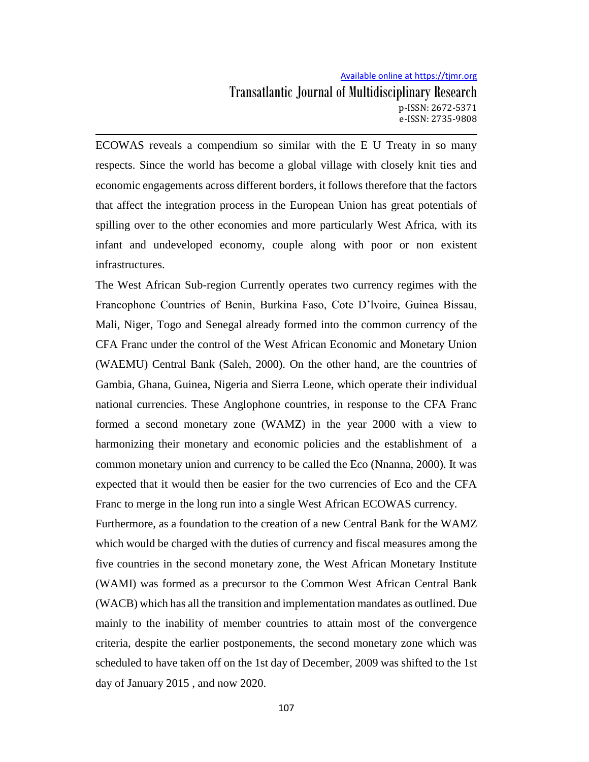ECOWAS reveals a compendium so similar with the E U Treaty in so many respects. Since the world has become a global village with closely knit ties and economic engagements across different borders, it follows therefore that the factors that affect the integration process in the European Union has great potentials of spilling over to the other economies and more particularly West Africa, with its infant and undeveloped economy, couple along with poor or non existent infrastructures.

The West African Sub-region Currently operates two currency regimes with the Francophone Countries of Benin, Burkina Faso, Cote D'lvoire, Guinea Bissau, Mali, Niger, Togo and Senegal already formed into the common currency of the CFA Franc under the control of the West African Economic and Monetary Union (WAEMU) Central Bank (Saleh, 2000). On the other hand, are the countries of Gambia, Ghana, Guinea, Nigeria and Sierra Leone, which operate their individual national currencies. These Anglophone countries, in response to the CFA Franc formed a second monetary zone (WAMZ) in the year 2000 with a view to harmonizing their monetary and economic policies and the establishment of a common monetary union and currency to be called the Eco (Nnanna, 2000). It was expected that it would then be easier for the two currencies of Eco and the CFA Franc to merge in the long run into a single West African ECOWAS currency.

Furthermore, as a foundation to the creation of a new Central Bank for the WAMZ which would be charged with the duties of currency and fiscal measures among the five countries in the second monetary zone, the West African Monetary Institute (WAMI) was formed as a precursor to the Common West African Central Bank (WACB) which has all the transition and implementation mandates as outlined. Due mainly to the inability of member countries to attain most of the convergence criteria, despite the earlier postponements, the second monetary zone which was scheduled to have taken off on the 1st day of December, 2009 was shifted to the 1st day of January 2015 , and now 2020.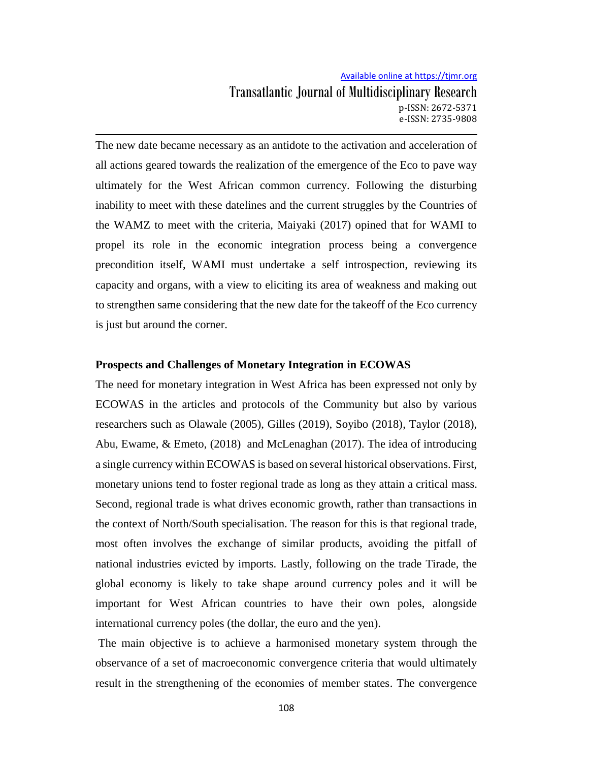The new date became necessary as an antidote to the activation and acceleration of all actions geared towards the realization of the emergence of the Eco to pave way ultimately for the West African common currency. Following the disturbing inability to meet with these datelines and the current struggles by the Countries of the WAMZ to meet with the criteria, Maiyaki (2017) opined that for WAMI to propel its role in the economic integration process being a convergence precondition itself, WAMI must undertake a self introspection, reviewing its capacity and organs, with a view to eliciting its area of weakness and making out to strengthen same considering that the new date for the takeoff of the Eco currency is just but around the corner.

#### **Prospects and Challenges of Monetary Integration in ECOWAS**

The need for monetary integration in West Africa has been expressed not only by ECOWAS in the articles and protocols of the Community but also by various researchers such as Olawale (2005), Gilles (2019), Soyibo (2018), Taylor (2018), Abu, Ewame, & Emeto, (2018) and McLenaghan (2017). The idea of introducing a single currency within ECOWAS is based on several historical observations. First, monetary unions tend to foster regional trade as long as they attain a critical mass. Second, regional trade is what drives economic growth, rather than transactions in the context of North/South specialisation. The reason for this is that regional trade, most often involves the exchange of similar products, avoiding the pitfall of national industries evicted by imports. Lastly, following on the trade Tirade, the global economy is likely to take shape around currency poles and it will be important for West African countries to have their own poles, alongside international currency poles (the dollar, the euro and the yen).

The main objective is to achieve a harmonised monetary system through the observance of a set of macroeconomic convergence criteria that would ultimately result in the strengthening of the economies of member states. The convergence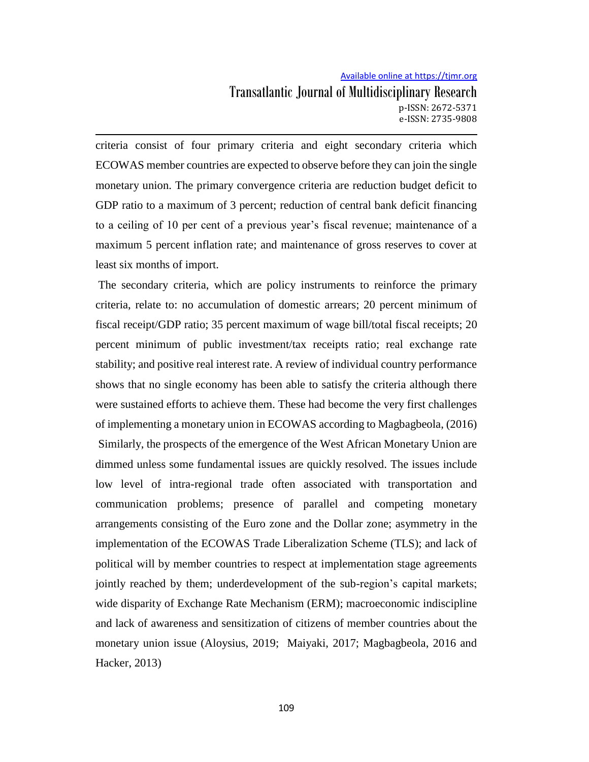Transatlantic Journal of Multidisciplinary Research p-ISSN: 2672-5371 e-ISSN: 2735-9808

criteria consist of four primary criteria and eight secondary criteria which ECOWAS member countries are expected to observe before they can join the single monetary union. The primary convergence criteria are reduction budget deficit to GDP ratio to a maximum of 3 percent; reduction of central bank deficit financing to a ceiling of 10 per cent of a previous year's fiscal revenue; maintenance of a maximum 5 percent inflation rate; and maintenance of gross reserves to cover at least six months of import.

The secondary criteria, which are policy instruments to reinforce the primary criteria, relate to: no accumulation of domestic arrears; 20 percent minimum of fiscal receipt/GDP ratio; 35 percent maximum of wage bill/total fiscal receipts; 20 percent minimum of public investment/tax receipts ratio; real exchange rate stability; and positive real interest rate. A review of individual country performance shows that no single economy has been able to satisfy the criteria although there were sustained efforts to achieve them. These had become the very first challenges of implementing a monetary union in ECOWAS according to Magbagbeola, (2016) Similarly, the prospects of the emergence of the West African Monetary Union are dimmed unless some fundamental issues are quickly resolved. The issues include low level of intra-regional trade often associated with transportation and communication problems; presence of parallel and competing monetary arrangements consisting of the Euro zone and the Dollar zone; asymmetry in the implementation of the ECOWAS Trade Liberalization Scheme (TLS); and lack of political will by member countries to respect at implementation stage agreements jointly reached by them; underdevelopment of the sub-region's capital markets; wide disparity of Exchange Rate Mechanism (ERM); macroeconomic indiscipline and lack of awareness and sensitization of citizens of member countries about the monetary union issue (Aloysius, 2019; Maiyaki, 2017; Magbagbeola, 2016 and Hacker, 2013)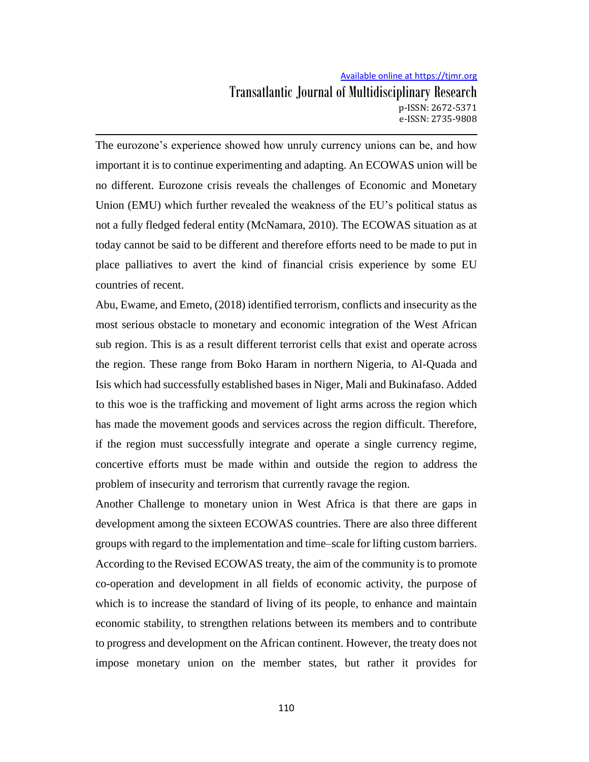Transatlantic Journal of Multidisciplinary Research p-ISSN: 2672-5371 e-ISSN: 2735-9808

The eurozone's experience showed how unruly currency unions can be, and how important it is to continue experimenting and adapting. An ECOWAS union will be no different. Eurozone crisis reveals the challenges of Economic and Monetary Union (EMU) which further revealed the weakness of the EU's political status as not a fully fledged federal entity (McNamara, 2010). The ECOWAS situation as at today cannot be said to be different and therefore efforts need to be made to put in place palliatives to avert the kind of financial crisis experience by some EU countries of recent.

Abu, Ewame, and Emeto, (2018) identified terrorism, conflicts and insecurity as the most serious obstacle to monetary and economic integration of the West African sub region. This is as a result different terrorist cells that exist and operate across the region. These range from Boko Haram in northern Nigeria, to Al-Quada and Isis which had successfully established bases in Niger, Mali and Bukinafaso. Added to this woe is the trafficking and movement of light arms across the region which has made the movement goods and services across the region difficult. Therefore, if the region must successfully integrate and operate a single currency regime, concertive efforts must be made within and outside the region to address the problem of insecurity and terrorism that currently ravage the region.

Another Challenge to monetary union in West Africa is that there are gaps in development among the sixteen ECOWAS countries. There are also three different groups with regard to the implementation and time–scale for lifting custom barriers. According to the Revised ECOWAS treaty, the aim of the community is to promote co-operation and development in all fields of economic activity, the purpose of which is to increase the standard of living of its people, to enhance and maintain economic stability, to strengthen relations between its members and to contribute to progress and development on the African continent. However, the treaty does not impose monetary union on the member states, but rather it provides for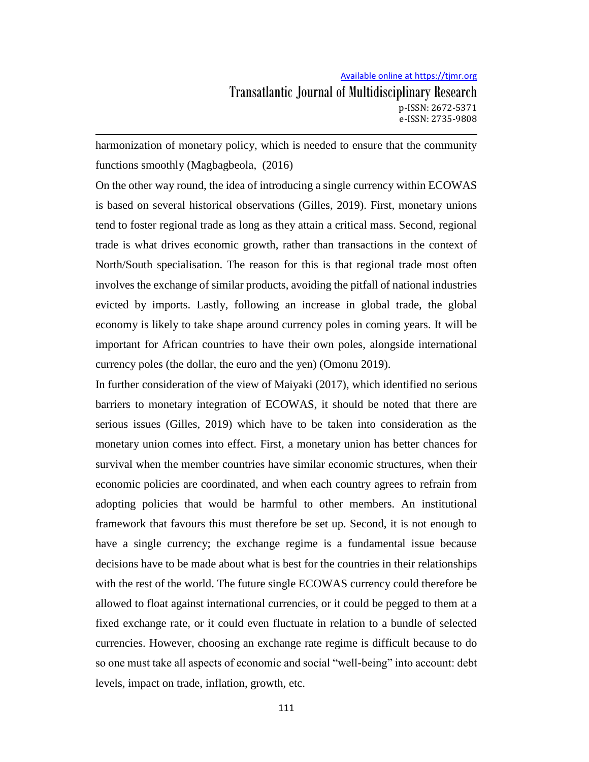## Transatlantic Journal of Multidisciplinary Research p-ISSN: 2672-5371 e-ISSN: 2735-9808

harmonization of monetary policy, which is needed to ensure that the community functions smoothly (Magbagbeola, (2016)

On the other way round, the idea of introducing a single currency within ECOWAS is based on several historical observations (Gilles, 2019). First, monetary unions tend to foster regional trade as long as they attain a critical mass. Second, regional trade is what drives economic growth, rather than transactions in the context of North/South specialisation. The reason for this is that regional trade most often involves the exchange of similar products, avoiding the pitfall of national industries evicted by imports. Lastly, following an increase in global trade, the global economy is likely to take shape around currency poles in coming years. It will be important for African countries to have their own poles, alongside international currency poles (the dollar, the euro and the yen) (Omonu 2019).

In further consideration of the view of Maiyaki (2017), which identified no serious barriers to monetary integration of ECOWAS, it should be noted that there are serious issues (Gilles, 2019) which have to be taken into consideration as the monetary union comes into effect. First, a monetary union has better chances for survival when the member countries have similar economic structures, when their economic policies are coordinated, and when each country agrees to refrain from adopting policies that would be harmful to other members. An institutional framework that favours this must therefore be set up. Second, it is not enough to have a single currency; the exchange regime is a fundamental issue because decisions have to be made about what is best for the countries in their relationships with the rest of the world. The future single ECOWAS currency could therefore be allowed to float against international currencies, or it could be pegged to them at a fixed exchange rate, or it could even fluctuate in relation to a bundle of selected currencies. However, choosing an exchange rate regime is difficult because to do so one must take all aspects of economic and social "well-being" into account: debt levels, impact on trade, inflation, growth, etc.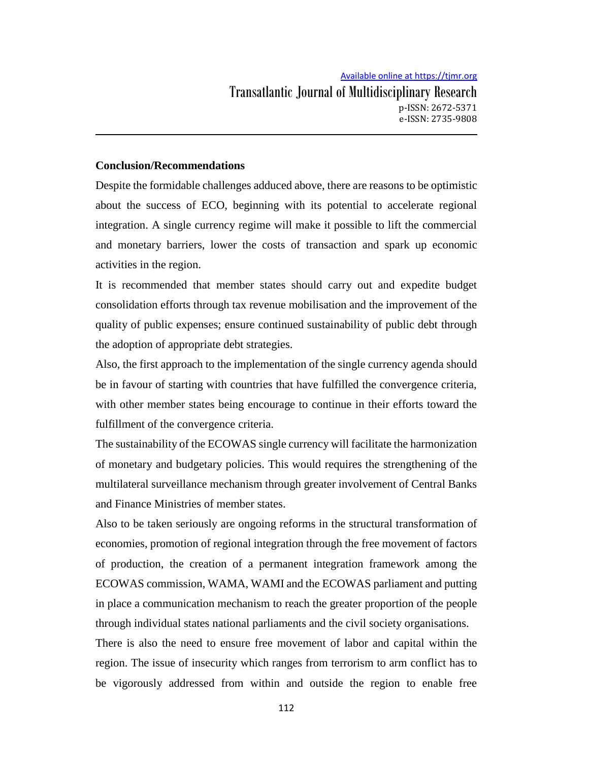#### **Conclusion/Recommendations**

Despite the formidable challenges adduced above, there are reasons to be optimistic about the success of ECO, beginning with its potential to accelerate regional integration. A single currency regime will make it possible to lift the commercial and monetary barriers, lower the costs of transaction and spark up economic activities in the region.

It is recommended that member states should carry out and expedite budget consolidation efforts through tax revenue mobilisation and the improvement of the quality of public expenses; ensure continued sustainability of public debt through the adoption of appropriate debt strategies.

Also, the first approach to the implementation of the single currency agenda should be in favour of starting with countries that have fulfilled the convergence criteria, with other member states being encourage to continue in their efforts toward the fulfillment of the convergence criteria.

The sustainability of the ECOWAS single currency will facilitate the harmonization of monetary and budgetary policies. This would requires the strengthening of the multilateral surveillance mechanism through greater involvement of Central Banks and Finance Ministries of member states.

Also to be taken seriously are ongoing reforms in the structural transformation of economies, promotion of regional integration through the free movement of factors of production, the creation of a permanent integration framework among the ECOWAS commission, WAMA, WAMI and the ECOWAS parliament and putting in place a communication mechanism to reach the greater proportion of the people through individual states national parliaments and the civil society organisations.

There is also the need to ensure free movement of labor and capital within the region. The issue of insecurity which ranges from terrorism to arm conflict has to be vigorously addressed from within and outside the region to enable free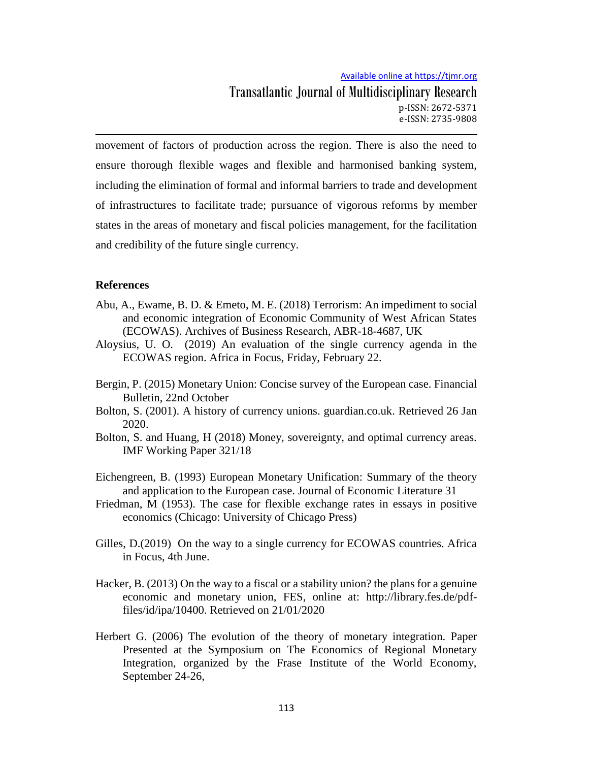Transatlantic Journal of Multidisciplinary Research p-ISSN: 2672-5371 e-ISSN: 2735-9808

movement of factors of production across the region. There is also the need to ensure thorough flexible wages and flexible and harmonised banking system, including the elimination of formal and informal barriers to trade and development of infrastructures to facilitate trade; pursuance of vigorous reforms by member states in the areas of monetary and fiscal policies management, for the facilitation and credibility of the future single currency.

#### **References**

- Abu, A., Ewame, B. D. & Emeto, M. E. (2018) Terrorism: An impediment to social and economic integration of Economic Community of West African States (ECOWAS). Archives of Business Research, ABR-18-4687, UK
- Aloysius, U. O. (2019) An evaluation of the single currency agenda in the ECOWAS region. Africa in Focus, Friday, February 22.
- Bergin, P. (2015) Monetary Union: Concise survey of the European case. Financial Bulletin, 22nd October
- Bolton, S. (2001). A history of currency unions. guardian.co.uk. Retrieved 26 Jan 2020.
- Bolton, S. and Huang, H (2018) Money, sovereignty, and optimal currency areas. IMF Working Paper 321/18
- Eichengreen, B. (1993) European Monetary Unification: Summary of the theory and application to the European case. Journal of Economic Literature 31
- Friedman, M (1953). The case for flexible exchange rates in essays in positive economics (Chicago: University of Chicago Press)
- Gilles, D.(2019) On the way to a single currency for ECOWAS countries. Africa in Focus, 4th June.
- Hacker, B. (2013) On the way to a fiscal or a stability union? the plans for a genuine economic and monetary union, FES, online at: http://library.fes.de/pdffiles/id/ipa/10400. Retrieved on 21/01/2020
- Herbert G. (2006) The evolution of the theory of monetary integration. Paper Presented at the Symposium on The Economics of Regional Monetary Integration, organized by the Frase Institute of the World Economy, September 24-26,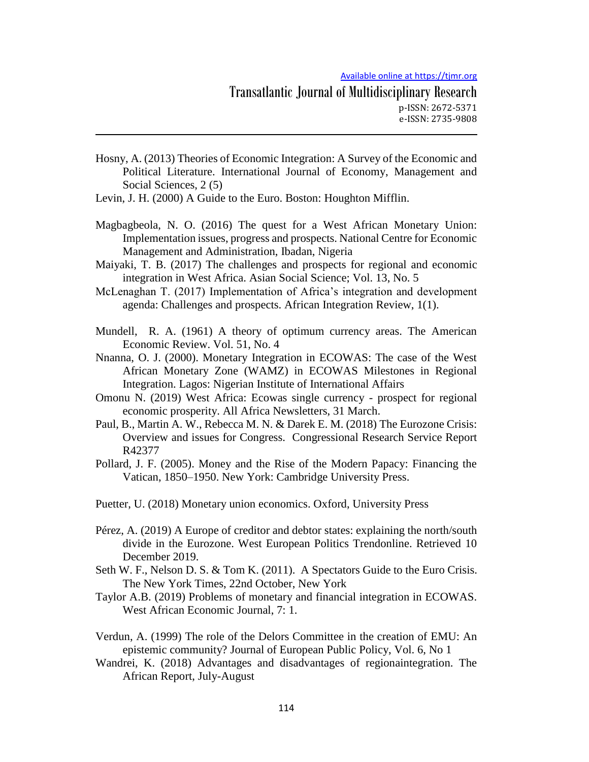- Hosny, A. (2013) Theories of Economic Integration: A Survey of the Economic and Political Literature. International Journal of Economy, Management and Social Sciences, 2 (5)
- Levin, J. H. (2000) A Guide to the Euro. Boston: Houghton Mifflin.
- Magbagbeola, N. O. (2016) The quest for a West African Monetary Union: Implementation issues, progress and prospects. National Centre for Economic Management and Administration, Ibadan, Nigeria
- Maiyaki, T. B. (2017) The challenges and prospects for regional and economic integration in West Africa. Asian Social Science; Vol. 13, No. 5
- McLenaghan T. (2017) Implementation of Africa's integration and development agenda: Challenges and prospects. African Integration Review, 1(1).
- Mundell, R. A. (1961) A theory of optimum currency areas. The American Economic Review. Vol. 51, No. 4
- Nnanna, O. J. (2000). Monetary Integration in ECOWAS: The case of the West African Monetary Zone (WAMZ) in ECOWAS Milestones in Regional Integration. Lagos: Nigerian Institute of International Affairs
- Omonu N. (2019) West Africa: Ecowas single currency prospect for regional economic prosperity. All Africa Newsletters, 31 March.
- Paul, B., Martin A. W., Rebecca M. N. & Darek E. M. (2018) The Eurozone Crisis: Overview and issues for Congress. Congressional Research Service Report R42377
- Pollard, J. F. (2005). Money and the Rise of the Modern Papacy: Financing the Vatican, 1850–1950. New York: Cambridge University Press.

Puetter, U. (2018) Monetary union economics. Oxford, University Press

- Pérez, A. (2019) A Europe of creditor and debtor states: explaining the north/south divide in the Eurozone. West European Politics Trendonline. Retrieved 10 December 2019.
- Seth W. F., Nelson D. S. & Tom K. (2011). A Spectators Guide to the Euro Crisis. The New York Times, 22nd October, New York
- Taylor A.B. (2019) Problems of monetary and financial integration in ECOWAS. West African Economic Journal, 7: 1.
- Verdun, A. (1999) The role of the Delors Committee in the creation of EMU: An epistemic community? Journal of European Public Policy, Vol. 6, No 1
- Wandrei, K. (2018) Advantages and disadvantages of regionaintegration. The African Report, July-August